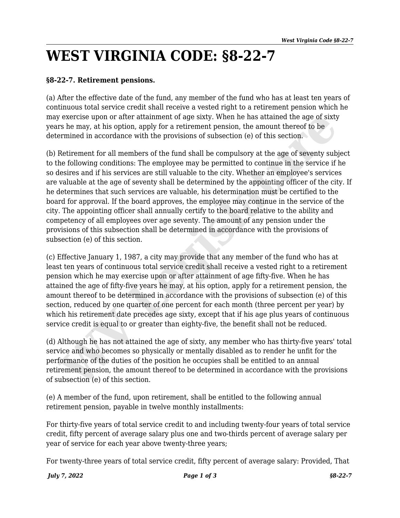## **WEST VIRGINIA CODE: §8-22-7**

## **§8-22-7. Retirement pensions.**

(a) After the effective date of the fund, any member of the fund who has at least ten years of continuous total service credit shall receive a vested right to a retirement pension which he may exercise upon or after attainment of age sixty. When he has attained the age of sixty years he may, at his option, apply for a retirement pension, the amount thereof to be determined in accordance with the provisions of subsection (e) of this section.

(b) Retirement for all members of the fund shall be compulsory at the age of seventy subject to the following conditions: The employee may be permitted to continue in the service if he so desires and if his services are still valuable to the city. Whether an employee's services are valuable at the age of seventy shall be determined by the appointing officer of the city. If he determines that such services are valuable, his determination must be certified to the board for approval. If the board approves, the employee may continue in the service of the city. The appointing officer shall annually certify to the board relative to the ability and competency of all employees over age seventy. The amount of any pension under the provisions of this subsection shall be determined in accordance with the provisions of subsection (e) of this section. *y* exercise upon or after attainment of age sixty. When he has attained the age of sixty<br>is he may, at his option, apply for a retirement pension, the amount thereof to be<br>formined in accordance with the provisions of sub

(c) Effective January 1, 1987, a city may provide that any member of the fund who has at least ten years of continuous total service credit shall receive a vested right to a retirement pension which he may exercise upon or after attainment of age fifty-five. When he has attained the age of fifty-five years he may, at his option, apply for a retirement pension, the amount thereof to be determined in accordance with the provisions of subsection (e) of this section, reduced by one quarter of one percent for each month (three percent per year) by which his retirement date precedes age sixty, except that if his age plus years of continuous service credit is equal to or greater than eighty-five, the benefit shall not be reduced.

(d) Although he has not attained the age of sixty, any member who has thirty-five years' total service and who becomes so physically or mentally disabled as to render he unfit for the performance of the duties of the position he occupies shall be entitled to an annual retirement pension, the amount thereof to be determined in accordance with the provisions of subsection (e) of this section.

(e) A member of the fund, upon retirement, shall be entitled to the following annual retirement pension, payable in twelve monthly installments:

For thirty-five years of total service credit to and including twenty-four years of total service credit, fifty percent of average salary plus one and two-thirds percent of average salary per year of service for each year above twenty-three years;

For twenty-three years of total service credit, fifty percent of average salary: Provided, That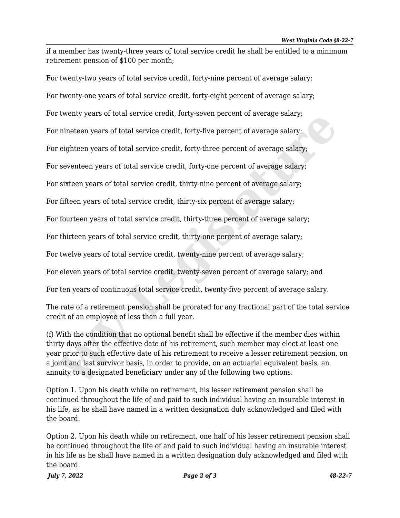if a member has twenty-three years of total service credit he shall be entitled to a minimum retirement pension of \$100 per month;

For twenty-two years of total service credit, forty-nine percent of average salary; For twenty-one years of total service credit, forty-eight percent of average salary; For twenty years of total service credit, forty-seven percent of average salary; For nineteen years of total service credit, forty-five percent of average salary;

For eighteen years of total service credit, forty-three percent of average salary;

For seventeen years of total service credit, forty-one percent of average salary;

For sixteen years of total service credit, thirty-nine percent of average salary;

For fifteen years of total service credit, thirty-six percent of average salary;

For fourteen years of total service credit, thirty-three percent of average salary;

For thirteen years of total service credit, thirty-one percent of average salary;

For twelve years of total service credit, twenty-nine percent of average salary;

For eleven years of total service credit, twenty-seven percent of average salary; and

For ten years of continuous total service credit, twenty-five percent of average salary.

The rate of a retirement pension shall be prorated for any fractional part of the total service credit of an employee of less than a full year.

(f) With the condition that no optional benefit shall be effective if the member dies within thirty days after the effective date of his retirement, such member may elect at least one year prior to such effective date of his retirement to receive a lesser retirement pension, on a joint and last survivor basis, in order to provide, on an actuarial equivalent basis, an annuity to a designated beneficiary under any of the following two options: Welliy years of total service credit, forty-seven percent of average salary;<br>
nineteen years of total service credit, forty-five percent of average salary;<br>
eighteen years of total service credit, forty-three percent of av

Option 1. Upon his death while on retirement, his lesser retirement pension shall be continued throughout the life of and paid to such individual having an insurable interest in his life, as he shall have named in a written designation duly acknowledged and filed with the board.

Option 2. Upon his death while on retirement, one half of his lesser retirement pension shall be continued throughout the life of and paid to such individual having an insurable interest in his life as he shall have named in a written designation duly acknowledged and filed with the board.

*July 7, 2022 Page 2 of 3 §8-22-7*